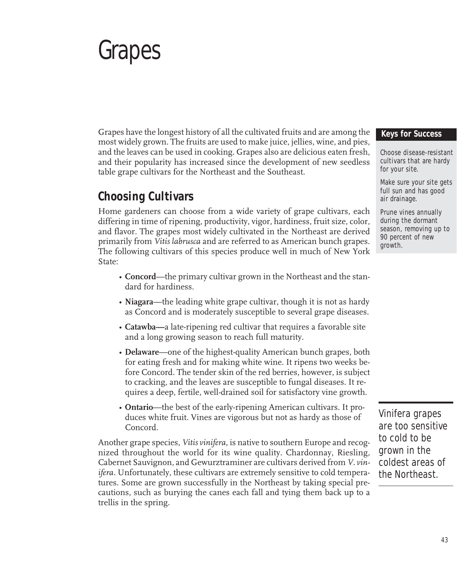# **Grapes**

Grapes have the longest history of all the cultivated fruits and are among the most widely grown. The fruits are used to make juice, jellies, wine, and pies, and the leaves can be used in cooking. Grapes also are delicious eaten fresh, and their popularity has increased since the development of new seedless table grape cultivars for the Northeast and the Southeast.

#### **Choosing Cultivars**

Home gardeners can choose from a wide variety of grape cultivars, each differing in time of ripening, productivity, vigor, hardiness, fruit size, color, and flavor. The grapes most widely cultivated in the Northeast are derived primarily from *Vitis labrusca* and are referred to as American bunch grapes. The following cultivars of this species produce well in much of New York State:

- • **Concord**—the primary cultivar grown in the Northeast and the standard for hardiness.
- • **Niagara**—the leading white grape cultivar, though it is not as hardy as Concord and is moderately susceptible to several grape diseases.
- • **Catawba—**a late-ripening red cultivar that requires a favorable site and a long growing season to reach full maturity.
- • **Delaware**—one of the highest-quality American bunch grapes, both for eating fresh and for making white wine. It ripens two weeks before Concord. The tender skin of the red berries, however, is subject to cracking, and the leaves are susceptible to fungal diseases. It requires a deep, fertile, well-drained soil for satisfactory vine growth.
- • **Ontario**—the best of the early-ripening American cultivars. It produces white fruit. Vines are vigorous but not as hardy as those of Concord.

Another grape species, *Vitis vinifera,* is native to southern Europe and recognized throughout the world for its wine quality. Chardonnay, Riesling, Cabernet Sauvignon, and Gewurztraminer are cultivars derived from *V. vinifera.* Unfortunately, these cultivars are extremely sensitive to cold temperatures. Some are grown successfully in the Northeast by taking special precautions, such as burying the canes each fall and tying them back up to a trellis in the spring.

#### **Keys for Success**

Choose disease-resistant cultivars that are hardy for your site.

Make sure your site gets full sun and has good air drainage.

Prune vines annually during the dormant season, removing up to 90 percent of new growth.

Vinifera grapes are too sensitive to cold to be grown in the coldest areas of the Northeast.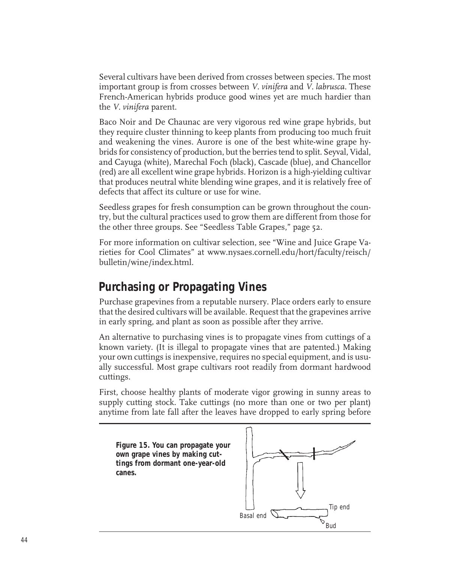Several cultivars have been derived from crosses between species. The most important group is from crosses between *V. vinifera* and *V. labrusca*. These French-American hybrids produce good wines yet are much hardier than the *V. vinifera* parent.

Baco Noir and De Chaunac are very vigorous red wine grape hybrids, but they require cluster thinning to keep plants from producing too much fruit and weakening the vines. Aurore is one of the best white-wine grape hybrids for consistency of production, but the berries tend to split. Seyval, Vidal, and Cayuga (white), Marechal Foch (black), Cascade (blue), and Chancellor (red) are all excellent wine grape hybrids. Horizon is a high-yielding cultivar that produces neutral white blending wine grapes, and it is relatively free of defects that affect its culture or use for wine.

Seedless grapes for fresh consumption can be grown throughout the country, but the cultural practices used to grow them are different from those for the other three groups. See "Seedless Table Grapes," page 52.

For more information on cultivar selection, see "Wine and Juice Grape Varieties for Cool Climates" at www.nysaes.cornell.edu/hort/faculty/reisch/ bulletin/wine/index.html.

### **Purchasing or Propagating Vines**

Purchase grapevines from a reputable nursery. Place orders early to ensure that the desired cultivars will be available. Request that the grapevines arrive in early spring, and plant as soon as possible after they arrive.

An alternative to purchasing vines is to propagate vines from cuttings of a known variety. (It is illegal to propagate vines that are patented.) Making your own cuttings is inexpensive, requires no special equipment, and is usually successful. Most grape cultivars root readily from dormant hardwood cuttings.

First, choose healthy plants of moderate vigor growing in sunny areas to supply cutting stock. Take cuttings (no more than one or two per plant) anytime from late fall after the leaves have dropped to early spring before

**Figure 15. You can propagate your own grape vines by making cuttings from dormant one-year-old canes.**

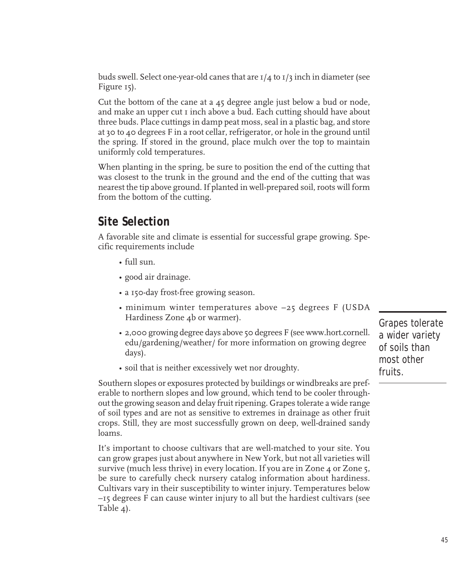buds swell. Select one-year-old canes that are 1/4 to 1/3 inch in diameter (see Figure 15).

Cut the bottom of the cane at a 45 degree angle just below a bud or node, and make an upper cut I inch above a bud. Each cutting should have about three buds. Place cuttings in damp peat moss, seal in a plastic bag, and store at 30 to 40 degrees F in a root cellar, refrigerator, or hole in the ground until the spring. If stored in the ground, place mulch over the top to maintain uniformly cold temperatures.

When planting in the spring, be sure to position the end of the cutting that was closest to the trunk in the ground and the end of the cutting that was nearest the tip above ground. If planted in well-prepared soil, roots will form from the bottom of the cutting.

#### **Site Selection**

A favorable site and climate is essential for successful grape growing. Specific requirements include

- full sun.
- good air drainage.
- a 150-day frost-free growing season.
- minimum winter temperatures above  $-25$  degrees F (USDA Hardiness Zone 4b or warmer).
- 2,000 growing degree days above 50 degrees F (see www.hort.cornell. edu/gardening/weather/ for more information on growing degree days).
- soil that is neither excessively wet nor droughty.

Southern slopes or exposures protected by buildings or windbreaks are preferable to northern slopes and low ground, which tend to be cooler throughout the growing season and delay fruit ripening. Grapes tolerate a wide range of soil types and are not as sensitive to extremes in drainage as other fruit crops. Still, they are most successfully grown on deep, well-drained sandy loams.

It's important to choose cultivars that are well-matched to your site. You can grow grapes just about anywhere in New York, but not all varieties will survive (much less thrive) in every location. If you are in Zone 4 or Zone 5, be sure to carefully check nursery catalog information about hardiness. Cultivars vary in their susceptibility to winter injury. Temperatures below –15 degrees F can cause winter injury to all but the hardiest cultivars (see Table 4).

Grapes tolerate a wider variety of soils than most other fruits.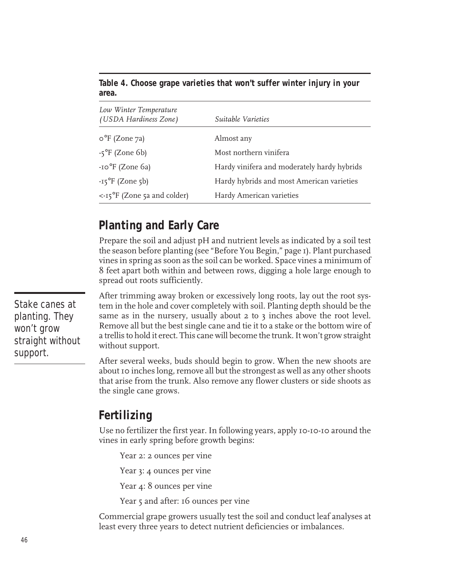**Table 4. Choose grape varieties that won't suffer winter injury in your area.**

| Low Winter Temperature<br>(USDA Hardiness Zone) | Suitable Varieties                          |
|-------------------------------------------------|---------------------------------------------|
| o°F (Zone 7a)                                   | Almost any                                  |
| $-5$ °F (Zone 6b)                               | Most northern vinifera                      |
| -10°F (Zone 6a)                                 | Hardy vinifera and moderately hardy hybrids |
| $-15^{\circ}$ F (Zone 5b)                       | Hardy hybrids and most American varieties   |
| <-15°F (Zone 5a and colder)                     | Hardy American varieties                    |

#### **Planting and Early Care**

Prepare the soil and adjust pH and nutrient levels as indicated by a soil test the season before planting (see "Before You Begin," page 1). Plant purchased vines in spring as soon as the soil can be worked. Space vines a minimum of 8 feet apart both within and between rows, digging a hole large enough to spread out roots sufficiently.

After trimming away broken or excessively long roots, lay out the root system in the hole and cover completely with soil. Planting depth should be the same as in the nursery, usually about 2 to 3 inches above the root level. Remove all but the best single cane and tie it to a stake or the bottom wire of a trellis to hold it erect. This cane will become the trunk. It won't grow straight without support.

After several weeks, buds should begin to grow. When the new shoots are about 10 inches long, remove all but the strongest as well as any other shoots that arise from the trunk. Also remove any flower clusters or side shoots as the single cane grows.

#### **Fertilizing**

Use no fertilizer the first year. In following years, apply 10-10-10 around the vines in early spring before growth begins:

Year 2: 2 ounces per vine

Year 3: 4 ounces per vine

Year 4: 8 ounces per vine

Year 5 and after: 16 ounces per vine

Commercial grape growers usually test the soil and conduct leaf analyses at least every three years to detect nutrient deficiencies or imbalances.

Stake canes at planting. They won't grow straight without support.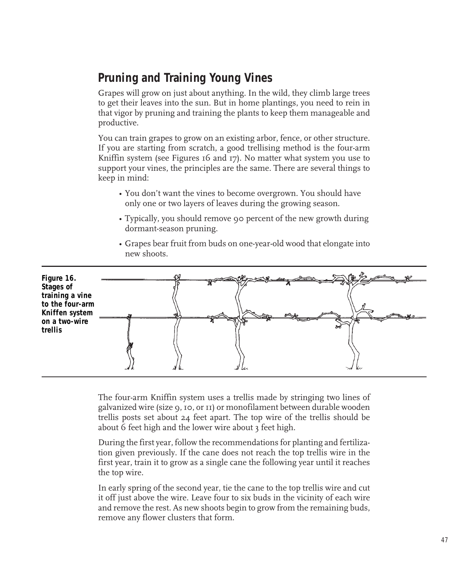### **Pruning and Training Young Vines**

Grapes will grow on just about anything. In the wild, they climb large trees to get their leaves into the sun. But in home plantings, you need to rein in that vigor by pruning and training the plants to keep them manageable and productive.

You can train grapes to grow on an existing arbor, fence, or other structure. If you are starting from scratch, a good trellising method is the four-arm Kniffin system (see Figures 16 and 17). No matter what system you use to support your vines, the principles are the same. There are several things to keep in mind:

- You don't want the vines to become overgrown. You should have only one or two layers of leaves during the growing season.
- Typically, you should remove 90 percent of the new growth during dormant-season pruning.
- Grapes bear fruit from buds on one-year-old wood that elongate into new shoots.



The four-arm Kniffin system uses a trellis made by stringing two lines of galvanized wire (size 9, 10, or 11) or monofilament between durable wooden trellis posts set about 24 feet apart. The top wire of the trellis should be about 6 feet high and the lower wire about 3 feet high.

During the first year, follow the recommendations for planting and fertilization given previously. If the cane does not reach the top trellis wire in the first year, train it to grow as a single cane the following year until it reaches the top wire.

In early spring of the second year, tie the cane to the top trellis wire and cut it off just above the wire. Leave four to six buds in the vicinity of each wire and remove the rest. As new shoots begin to grow from the remaining buds, remove any flower clusters that form.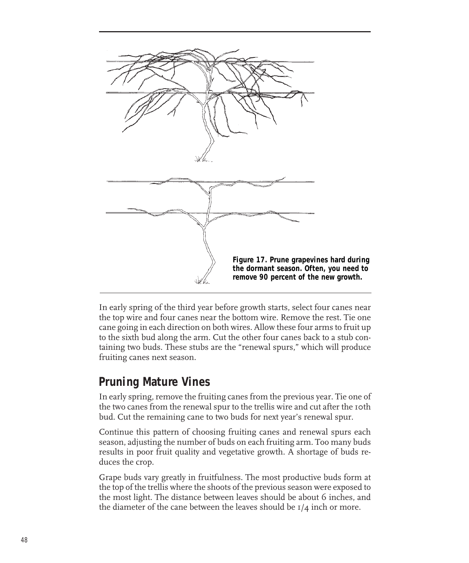

In early spring of the third year before growth starts, select four canes near the top wire and four canes near the bottom wire. Remove the rest. Tie one cane going in each direction on both wires. Allow these four arms to fruit up to the sixth bud along the arm. Cut the other four canes back to a stub containing two buds. These stubs are the "renewal spurs," which will produce fruiting canes next season.

### **Pruning Mature Vines**

In early spring, remove the fruiting canes from the previous year. Tie one of the two canes from the renewal spur to the trellis wire and cut after the 10th bud. Cut the remaining cane to two buds for next year's renewal spur.

Continue this pattern of choosing fruiting canes and renewal spurs each season, adjusting the number of buds on each fruiting arm. Too many buds results in poor fruit quality and vegetative growth. A shortage of buds reduces the crop.

Grape buds vary greatly in fruitfulness. The most productive buds form at the top of the trellis where the shoots of the previous season were exposed to the most light. The distance between leaves should be about 6 inches, and the diameter of the cane between the leaves should be 1/4 inch or more.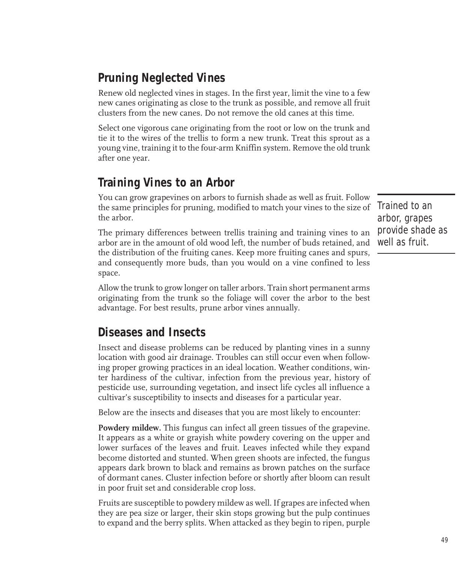## **Pruning Neglected Vines**

Renew old neglected vines in stages. In the first year, limit the vine to a few new canes originating as close to the trunk as possible, and remove all fruit clusters from the new canes. Do not remove the old canes at this time.

Select one vigorous cane originating from the root or low on the trunk and tie it to the wires of the trellis to form a new trunk. Treat this sprout as a young vine, training it to the four-arm Kniffin system. Remove the old trunk after one year.

#### **Training Vines to an Arbor**

You can grow grapevines on arbors to furnish shade as well as fruit. Follow the same principles for pruning, modified to match your vines to the size of the arbor.

The primary differences between trellis training and training vines to an arbor are in the amount of old wood left, the number of buds retained, and the distribution of the fruiting canes. Keep more fruiting canes and spurs, and consequently more buds, than you would on a vine confined to less space.

Allow the trunk to grow longer on taller arbors. Train short permanent arms originating from the trunk so the foliage will cover the arbor to the best advantage. For best results, prune arbor vines annually.

#### **Diseases and Insects**

Insect and disease problems can be reduced by planting vines in a sunny location with good air drainage. Troubles can still occur even when following proper growing practices in an ideal location. Weather conditions, winter hardiness of the cultivar, infection from the previous year, history of pesticide use, surrounding vegetation, and insect life cycles all influence a cultivar's susceptibility to insects and diseases for a particular year.

Below are the insects and diseases that you are most likely to encounter:

**Powdery mildew.** This fungus can infect all green tissues of the grapevine. It appears as a white or grayish white powdery covering on the upper and lower surfaces of the leaves and fruit. Leaves infected while they expand become distorted and stunted. When green shoots are infected, the fungus appears dark brown to black and remains as brown patches on the surface of dormant canes. Cluster infection before or shortly after bloom can result in poor fruit set and considerable crop loss.

Fruits are susceptible to powdery mildew as well. If grapes are infected when they are pea size or larger, their skin stops growing but the pulp continues to expand and the berry splits. When attacked as they begin to ripen, purple

Trained to an arbor, grapes provide shade as well as fruit.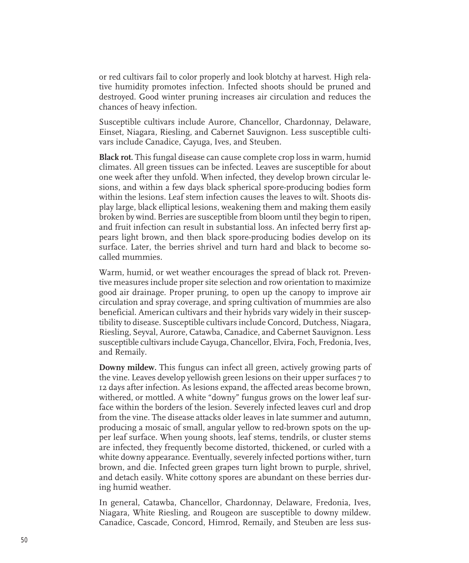or red cultivars fail to color properly and look blotchy at harvest. High relative humidity promotes infection. Infected shoots should be pruned and destroyed. Good winter pruning increases air circulation and reduces the chances of heavy infection.

Susceptible cultivars include Aurore, Chancellor, Chardonnay, Delaware, Einset, Niagara, Riesling, and Cabernet Sauvignon. Less susceptible cultivars include Canadice, Cayuga, Ives, and Steuben.

**Black rot.** This fungal disease can cause complete crop loss in warm, humid climates. All green tissues can be infected. Leaves are susceptible for about one week after they unfold. When infected, they develop brown circular lesions, and within a few days black spherical spore-producing bodies form within the lesions. Leaf stem infection causes the leaves to wilt. Shoots display large, black elliptical lesions, weakening them and making them easily broken by wind. Berries are susceptible from bloom until they begin to ripen, and fruit infection can result in substantial loss. An infected berry first appears light brown, and then black spore-producing bodies develop on its surface. Later, the berries shrivel and turn hard and black to become socalled mummies.

Warm, humid, or wet weather encourages the spread of black rot. Preventive measures include proper site selection and row orientation to maximize good air drainage. Proper pruning, to open up the canopy to improve air circulation and spray coverage, and spring cultivation of mummies are also beneficial. American cultivars and their hybrids vary widely in their susceptibility to disease. Susceptible cultivars include Concord, Dutchess, Niagara, Riesling, Seyval, Aurore, Catawba, Canadice, and Cabernet Sauvignon. Less susceptible cultivars include Cayuga, Chancellor, Elvira, Foch, Fredonia, Ives, and Remaily.

**Downy mildew.** This fungus can infect all green, actively growing parts of the vine. Leaves develop yellowish green lesions on their upper surfaces 7 to 12 days after infection. As lesions expand, the affected areas become brown, withered, or mottled. A white "downy" fungus grows on the lower leaf surface within the borders of the lesion. Severely infected leaves curl and drop from the vine. The disease attacks older leaves in late summer and autumn, producing a mosaic of small, angular yellow to red-brown spots on the upper leaf surface. When young shoots, leaf stems, tendrils, or cluster stems are infected, they frequently become distorted, thickened, or curled with a white downy appearance. Eventually, severely infected portions wither, turn brown, and die. Infected green grapes turn light brown to purple, shrivel, and detach easily. White cottony spores are abundant on these berries during humid weather.

In general, Catawba, Chancellor, Chardonnay, Delaware, Fredonia, Ives, Niagara, White Riesling, and Rougeon are susceptible to downy mildew. Canadice, Cascade, Concord, Himrod, Remaily, and Steuben are less sus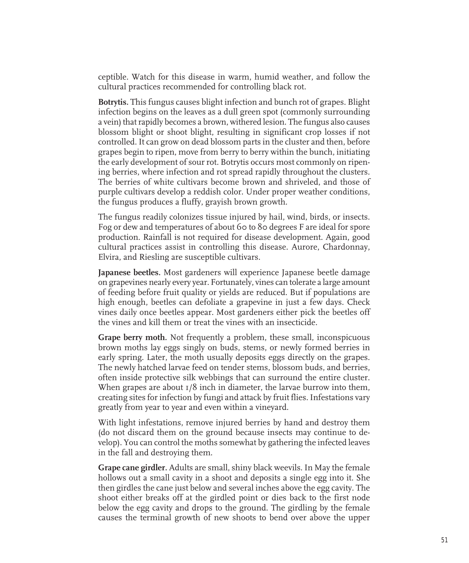ceptible. Watch for this disease in warm, humid weather, and follow the cultural practices recommended for controlling black rot.

**Botrytis.** This fungus causes blight infection and bunch rot of grapes. Blight infection begins on the leaves as a dull green spot (commonly surrounding a vein) that rapidly becomes a brown, withered lesion. The fungus also causes blossom blight or shoot blight, resulting in significant crop losses if not controlled. It can grow on dead blossom parts in the cluster and then, before grapes begin to ripen, move from berry to berry within the bunch, initiating the early development of sour rot. Botrytis occurs most commonly on ripening berries, where infection and rot spread rapidly throughout the clusters. The berries of white cultivars become brown and shriveled, and those of purple cultivars develop a reddish color. Under proper weather conditions, the fungus produces a fluffy, grayish brown growth.

The fungus readily colonizes tissue injured by hail, wind, birds, or insects. Fog or dew and temperatures of about 60 to 80 degrees F are ideal for spore production. Rainfall is not required for disease development. Again, good cultural practices assist in controlling this disease. Aurore, Chardonnay, Elvira, and Riesling are susceptible cultivars.

**Japanese beetles.** Most gardeners will experience Japanese beetle damage on grapevines nearly every year. Fortunately, vines can tolerate a large amount of feeding before fruit quality or yields are reduced. But if populations are high enough, beetles can defoliate a grapevine in just a few days. Check vines daily once beetles appear. Most gardeners either pick the beetles off the vines and kill them or treat the vines with an insecticide.

**Grape berry moth.** Not frequently a problem, these small, inconspicuous brown moths lay eggs singly on buds, stems, or newly formed berries in early spring. Later, the moth usually deposits eggs directly on the grapes. The newly hatched larvae feed on tender stems, blossom buds, and berries, often inside protective silk webbings that can surround the entire cluster. When grapes are about  $I/8$  inch in diameter, the larvae burrow into them, creating sites for infection by fungi and attack by fruit flies. Infestations vary greatly from year to year and even within a vineyard.

With light infestations, remove injured berries by hand and destroy them (do not discard them on the ground because insects may continue to develop). You can control the moths somewhat by gathering the infected leaves in the fall and destroying them.

**Grape cane girdler.** Adults are small, shiny black weevils. In May the female hollows out a small cavity in a shoot and deposits a single egg into it. She then girdles the cane just below and several inches above the egg cavity. The shoot either breaks off at the girdled point or dies back to the first node below the egg cavity and drops to the ground. The girdling by the female causes the terminal growth of new shoots to bend over above the upper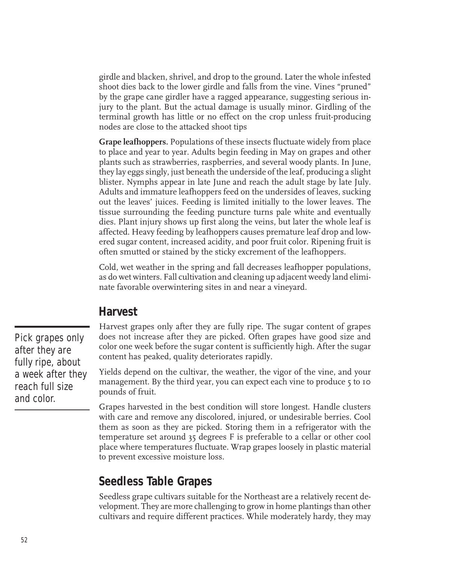girdle and blacken, shrivel, and drop to the ground. Later the whole infested shoot dies back to the lower girdle and falls from the vine. Vines "pruned" by the grape cane girdler have a ragged appearance, suggesting serious injury to the plant. But the actual damage is usually minor. Girdling of the terminal growth has little or no effect on the crop unless fruit-producing nodes are close to the attacked shoot tips

**Grape leafhoppers.** Populations of these insects fluctuate widely from place to place and year to year. Adults begin feeding in May on grapes and other plants such as strawberries, raspberries, and several woody plants. In June, they lay eggs singly, just beneath the underside of the leaf, producing a slight blister. Nymphs appear in late June and reach the adult stage by late July. Adults and immature leafhoppers feed on the undersides of leaves, sucking out the leaves' juices. Feeding is limited initially to the lower leaves. The tissue surrounding the feeding puncture turns pale white and eventually dies. Plant injury shows up first along the veins, but later the whole leaf is affected. Heavy feeding by leafhoppers causes premature leaf drop and lowered sugar content, increased acidity, and poor fruit color. Ripening fruit is often smutted or stained by the sticky excrement of the leafhoppers.

Cold, wet weather in the spring and fall decreases leafhopper populations, as do wet winters. Fall cultivation and cleaning up adjacent weedy land eliminate favorable overwintering sites in and near a vineyard.

#### **Harvest**

Harvest grapes only after they are fully ripe. The sugar content of grapes does not increase after they are picked. Often grapes have good size and color one week before the sugar content is sufficiently high. After the sugar content has peaked, quality deteriorates rapidly.

Yields depend on the cultivar, the weather, the vigor of the vine, and your management. By the third year, you can expect each vine to produce 5 to 10 pounds of fruit.

Grapes harvested in the best condition will store longest. Handle clusters with care and remove any discolored, injured, or undesirable berries. Cool them as soon as they are picked. Storing them in a refrigerator with the temperature set around 35 degrees F is preferable to a cellar or other cool place where temperatures fluctuate. Wrap grapes loosely in plastic material to prevent excessive moisture loss.

### **Seedless Table Grapes**

Seedless grape cultivars suitable for the Northeast are a relatively recent development. They are more challenging to grow in home plantings than other cultivars and require different practices. While moderately hardy, they may

Pick grapes only after they are fully ripe, about a week after they reach full size and color.